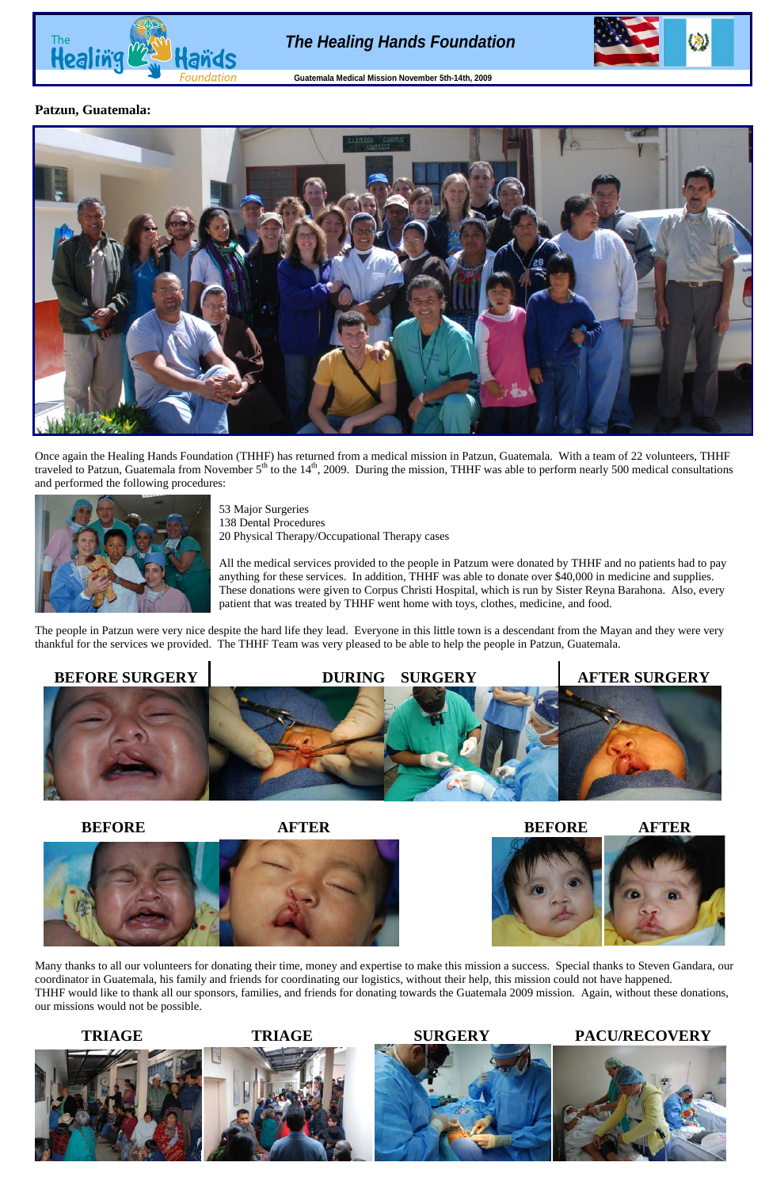## **Patzun, Guatemala:**



Once again the Healing Hands Foundation (THHF) has returned from a medical mission in Patzun, Guatemala. With a team of 22 volunteers, THHF traveled to Patzun, Guatemala from November  $5<sup>th</sup>$  to the  $14<sup>th</sup>$ , 2009. During the mission, THHF was able to perform nearly 500 medical consultations and performed the following procedures:



53 Major Surgeries 138 Dental Procedures 20 Physical Therapy/Occupational Therapy cases

All the medical services provided to the people in Patzum were donated by THHF and no patients had to pay anything for these services. In addition, THHF was able to donate over \$40,000 in medicine and supplies. These donations were given to Corpus Christi Hospital, which is run by Sister Reyna Barahona. Also, every patient that was treated by THHF went home with toys, clothes, medicine, and food.

The people in Patzun were very nice despite the hard life they lead. Everyone in this little town is a descendant from the Mayan and they were very thankful for the services we provided. The THHF Team was very pleased to be able to help the people in Patzun, Guatemala.











Many thanks to all our volunteers for donating their time, money and expertise to make this mission a success. Special thanks to Steven Gandara, our coordinator in Guatemala, his family and friends for coordinating our logistics, without their help, this mission could not have happened. THHF would like to thank all our sponsors, families, and friends for donating towards the Guatemala 2009 mission. Again, without these donations, our missions would not be possible.

# **TRIAGE TRIAGE SURGERY PACU/RECOVERY**



# *The Healing Hands Foundation*



**Guatemala Medical Mission November 5th-14th, 2009**